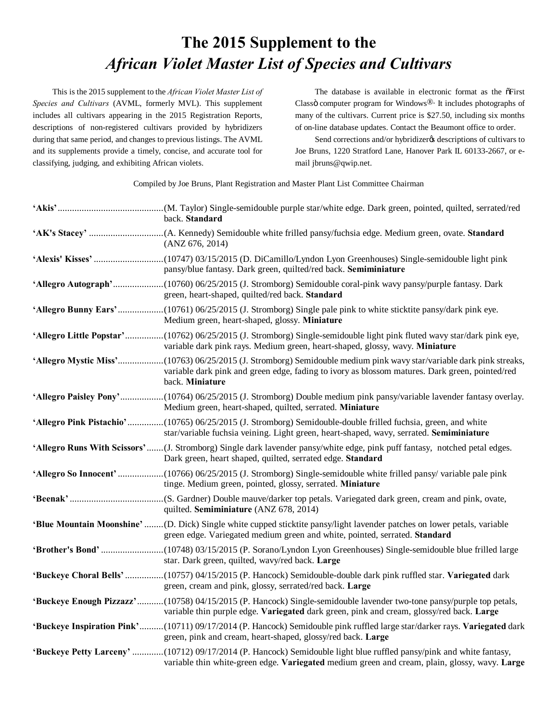## **The 2015 Supplement to the** *African Violet Master List of Species and Cultivars*

This is the 2015 supplement to the *African Violet Master List of Species and Cultivars* (AVML, formerly MVL). This supplement includes all cultivars appearing in the 2015 Registration Reports, descriptions of non-registered cultivars provided by hybridizers during that same period, and changes to previous listings. The AVML and its supplements provide a timely, concise, and accurate tool for classifying, judging, and exhibiting African violets.

The database is available in electronic format as the  $\tilde{\sigma}$ First Classö computer program for Windows $\mathbb{D}$ . It includes photographs of many of the cultivars. Current price is \$27.50, including six months of on-line database updates. Contact the Beaumont office to order.

Send corrections and/or hybridizergs descriptions of cultivars to Joe Bruns, 1220 Stratford Lane, Hanover Park IL 60133-2667, or email jbruns@qwip.net.

Compiled by Joe Bruns, Plant Registration and Master Plant List Committee Chairman

| back. Standard                                                                                                                                                                                                                           |
|------------------------------------------------------------------------------------------------------------------------------------------------------------------------------------------------------------------------------------------|
| (ANZ 676, 2014)                                                                                                                                                                                                                          |
| pansy/blue fantasy. Dark green, quilted/red back. Semiminiature                                                                                                                                                                          |
| 'Allegro Autograph'(10760) 06/25/2015 (J. Stromborg) Semidouble coral-pink wavy pansy/purple fantasy. Dark<br>green, heart-shaped, quilted/red back. Standard                                                                            |
| 'Allegro Bunny Ears'(10761) 06/25/2015 (J. Stromborg) Single pale pink to white sticktite pansy/dark pink eye.<br>Medium green, heart-shaped, glossy. Miniature                                                                          |
| 'Allegro Little Popstar'(10762) 06/25/2015 (J. Stromborg) Single-semidouble light pink fluted wavy star/dark pink eye,<br>variable dark pink rays. Medium green, heart-shaped, glossy, wavy. Miniature                                   |
| 'Allegro Mystic Miss'(10763) 06/25/2015 (J. Stromborg) Semidouble medium pink wavy star/variable dark pink streaks,<br>variable dark pink and green edge, fading to ivory as blossom matures. Dark green, pointed/red<br>back. Miniature |
| 'Allegro Paisley Pony'(10764) 06/25/2015 (J. Stromborg) Double medium pink pansy/variable lavender fantasy overlay.<br>Medium green, heart-shaped, quilted, serrated. Miniature                                                          |
| 'Allegro Pink Pistachio'(10765) 06/25/2015 (J. Stromborg) Semidouble-double frilled fuchsia, green, and white<br>star/variable fuchsia veining. Light green, heart-shaped, wavy, serrated. Semiminiature                                 |
| 'Allegro Runs With Scissors'(J. Stromborg) Single dark lavender pansy/white edge, pink puff fantasy, notched petal edges.<br>Dark green, heart shaped, quilted, serrated edge. Standard                                                  |
| 'Allegro So Innocent' (10766) 06/25/2015 (J. Stromborg) Single-semidouble white frilled pansy/ variable pale pink<br>tinge. Medium green, pointed, glossy, serrated. Miniature                                                           |
| quilted. Semiminiature (ANZ 678, 2014)                                                                                                                                                                                                   |
| 'Blue Mountain Moonshine'(D. Dick) Single white cupped sticktite pansy/light lavender patches on lower petals, variable<br>green edge. Variegated medium green and white, pointed, serrated. Standard                                    |
| star. Dark green, quilted, wavy/red back. Large                                                                                                                                                                                          |
| 'Buckeye Choral Bells' (10757) 04/15/2015 (P. Hancock) Semidouble-double dark pink ruffled star. Variegated dark<br>green, cream and pink, glossy, serrated/red back. Large                                                              |
| 'Buckeye Enough Pizzazz'(10758) 04/15/2015 (P. Hancock) Single-semidouble lavender two-tone pansy/purple top petals,<br>variable thin purple edge. Variegated dark green, pink and cream, glossy/red back. Large                         |
| 'Buckeye Inspiration Pink'(10711) 09/17/2014 (P. Hancock) Semidouble pink ruffled large star/darker rays. Variegated dark<br>green, pink and cream, heart-shaped, glossy/red back. Large                                                 |
| 'Buckeye Petty Larceny' (10712) 09/17/2014 (P. Hancock) Semidouble light blue ruffled pansy/pink and white fantasy,<br>variable thin white-green edge. Variegated medium green and cream, plain, glossy, wavy. Large                     |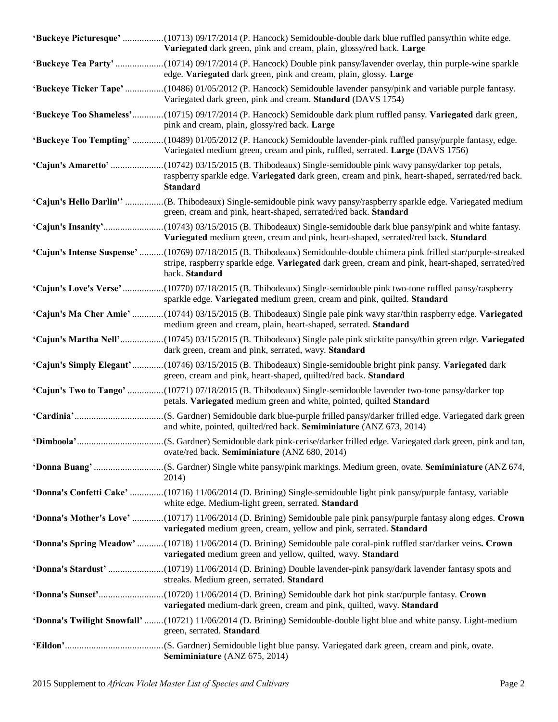| 'Buckeye Picturesque' (10713) 09/17/2014 (P. Hancock) Semidouble-double dark blue ruffled pansy/thin white edge.<br>Variegated dark green, pink and cream, plain, glossy/red back. Large                                                         |
|--------------------------------------------------------------------------------------------------------------------------------------------------------------------------------------------------------------------------------------------------|
| 'Buckeye Tea Party'(10714) 09/17/2014 (P. Hancock) Double pink pansy/lavender overlay, thin purple-wine sparkle<br>edge. Variegated dark green, pink and cream, plain, glossy. Large                                                             |
| 'Buckeye Ticker Tape' (10486) 01/05/2012 (P. Hancock) Semidouble lavender pansy/pink and variable purple fantasy.<br>Variegated dark green, pink and cream. Standard (DAVS 1754)                                                                 |
| 'Buckeye Too Shameless'(10715) 09/17/2014 (P. Hancock) Semidouble dark plum ruffled pansy. Variegated dark green,<br>pink and cream, plain, glossy/red back. Large                                                                               |
| 'Buckeye Too Tempting' (10489) 01/05/2012 (P. Hancock) Semidouble lavender-pink ruffled pansy/purple fantasy, edge.<br>Variegated medium green, cream and pink, ruffled, serrated. Large (DAVS 1756)                                             |
| 'Cajun's Amaretto' (10742) 03/15/2015 (B. Thibodeaux) Single-semidouble pink wavy pansy/darker top petals,<br>raspberry sparkle edge. Variegated dark green, cream and pink, heart-shaped, serrated/red back.<br><b>Standard</b>                 |
| 'Cajun's Hello Darlin'' (B. Thibodeaux) Single-semidouble pink wavy pansy/raspberry sparkle edge. Variegated medium<br>green, cream and pink, heart-shaped, serrated/red back. Standard                                                          |
| Variegated medium green, cream and pink, heart-shaped, serrated/red back. Standard                                                                                                                                                               |
| 'Cajun's Intense Suspense' (10769) 07/18/2015 (B. Thibodeaux) Semidouble-double chimera pink frilled star/purple-streaked<br>stripe, raspberry sparkle edge. Variegated dark green, cream and pink, heart-shaped, serrated/red<br>back. Standard |
| 'Cajun's Love's Verse'(10770) 07/18/2015 (B. Thibodeaux) Single-semidouble pink two-tone ruffled pansy/raspberry<br>sparkle edge. Variegated medium green, cream and pink, quilted. Standard                                                     |
| 'Cajun's Ma Cher Amie' (10744) 03/15/2015 (B. Thibodeaux) Single pale pink wavy star/thin raspberry edge. Variegated<br>medium green and cream, plain, heart-shaped, serrated. Standard                                                          |
| 'Cajun's Martha Nell'(10745) 03/15/2015 (B. Thibodeaux) Single pale pink sticktite pansy/thin green edge. Variegated<br>dark green, cream and pink, serrated, wavy. Standard                                                                     |
| 'Cajun's Simply Elegant'(10746) 03/15/2015 (B. Thibodeaux) Single-semidouble bright pink pansy. Variegated dark<br>green, cream and pink, heart-shaped, quilted/red back. Standard                                                               |
| 'Cajun's Two to Tango' (10771) 07/18/2015 (B. Thibodeaux) Single-semidouble lavender two-tone pansy/darker top<br>petals. Variegated medium green and white, pointed, quilted Standard                                                           |
| and white, pointed, quilted/red back. Semiminiature (ANZ 673, 2014)                                                                                                                                                                              |
| ovate/red back. Semiminiature (ANZ 680, 2014)                                                                                                                                                                                                    |
| 2014)                                                                                                                                                                                                                                            |
| <b>'Donna's Confetti Cake'</b> (10716) 11/06/2014 (D. Brining) Single-semidouble light pink pansy/purple fantasy, variable<br>white edge. Medium-light green, serrated. Standard                                                                 |
| 'Donna's Mother's Love' (10717) 11/06/2014 (D. Brining) Semidouble pale pink pansy/purple fantasy along edges. Crown<br>variegated medium green, cream, yellow and pink, serrated. Standard                                                      |
| 'Donna's Spring Meadow' (10718) 11/06/2014 (D. Brining) Semidouble pale coral-pink ruffled star/darker veins. Crown<br>variegated medium green and yellow, quilted, wavy. Standard                                                               |
| streaks. Medium green, serrated. Standard                                                                                                                                                                                                        |
| variegated medium-dark green, cream and pink, quilted, wavy. Standard                                                                                                                                                                            |
| 'Donna's Twilight Snowfall' (10721) 11/06/2014 (D. Brining) Semidouble-double light blue and white pansy. Light-medium<br>green, serrated. Standard                                                                                              |
| Semiminiature (ANZ 675, 2014)                                                                                                                                                                                                                    |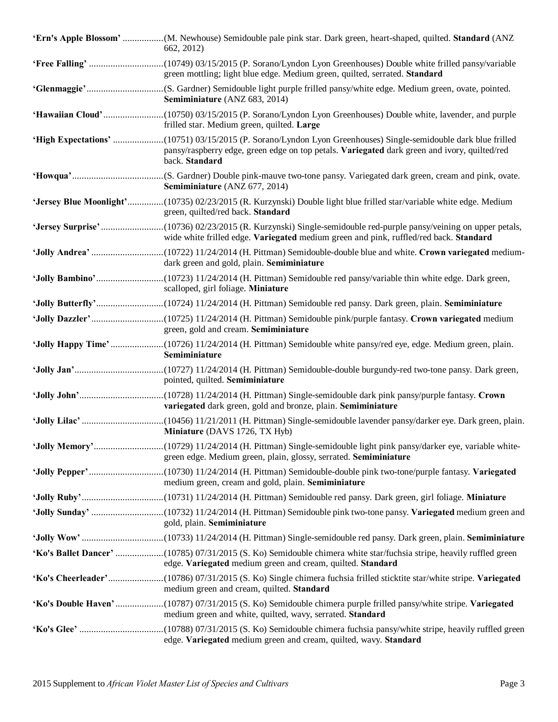| 'Ern's Apple Blossom' (M. Newhouse) Semidouble pale pink star. Dark green, heart-shaped, quilted. Standard (ANZ<br>662, 2012)                                                     |
|-----------------------------------------------------------------------------------------------------------------------------------------------------------------------------------|
| green mottling; light blue edge. Medium green, quilted, serrated. Standard                                                                                                        |
| Semiminiature (ANZ 683, 2014)                                                                                                                                                     |
| frilled star. Medium green, quilted. Large                                                                                                                                        |
| pansy/raspberry edge, green edge on top petals. Variegated dark green and ivory, quilted/red<br>back. Standard                                                                    |
| Semiminiature (ANZ 677, 2014)                                                                                                                                                     |
| 'Jersey Blue Moonlight'(10735) 02/23/2015 (R. Kurzynski) Double light blue frilled star/variable white edge. Medium<br>green, quilted/red back. Standard                          |
| wide white frilled edge. Variegated medium green and pink, ruffled/red back. Standard                                                                                             |
| dark green and gold, plain. Semiminiature                                                                                                                                         |
| scalloped, girl foliage. Miniature                                                                                                                                                |
|                                                                                                                                                                                   |
| green, gold and cream. Semiminiature                                                                                                                                              |
|                                                                                                                                                                                   |
| Semiminiature                                                                                                                                                                     |
| pointed, quilted. Semiminiature                                                                                                                                                   |
| variegated dark green, gold and bronze, plain. Semiminiature                                                                                                                      |
| Miniature (DAVS 1726, TX Hyb)                                                                                                                                                     |
| green edge. Medium green, plain, glossy, serrated. Semiminiature                                                                                                                  |
| medium green, cream and gold, plain. Semiminiature                                                                                                                                |
|                                                                                                                                                                                   |
| gold, plain. Semiminiature                                                                                                                                                        |
|                                                                                                                                                                                   |
| 'Ko's Ballet Dancer' (10785) 07/31/2015 (S. Ko) Semidouble chimera white star/fuchsia stripe, heavily ruffled green<br>edge. Variegated medium green and cream, quilted. Standard |
| medium green and cream, quilted. Standard                                                                                                                                         |
| medium green and white, quilted, wavy, serrated. Standard                                                                                                                         |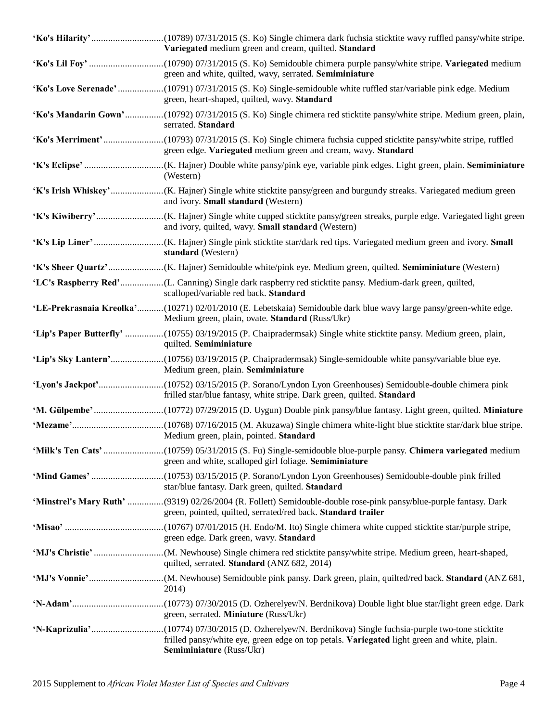| Variegated medium green and cream, quilted. Standard                                                                                                                              |
|-----------------------------------------------------------------------------------------------------------------------------------------------------------------------------------|
| green and white, quilted, wavy, serrated. Semiminiature                                                                                                                           |
| 'Ko's Love Serenade'(10791) 07/31/2015 (S. Ko) Single-semidouble white ruffled star/variable pink edge. Medium<br>green, heart-shaped, quilted, wavy. Standard                    |
| 'Ko's Mandarin Gown'(10792) 07/31/2015 (S. Ko) Single chimera red sticktite pansy/white stripe. Medium green, plain,<br>serrated. Standard                                        |
| green edge. Variegated medium green and cream, wavy. Standard                                                                                                                     |
| (Western)                                                                                                                                                                         |
| and ivory. Small standard (Western)                                                                                                                                               |
| and ivory, quilted, wavy. Small standard (Western)                                                                                                                                |
| standard (Western)                                                                                                                                                                |
|                                                                                                                                                                                   |
| scalloped/variable red back. Standard                                                                                                                                             |
| 'LE-Prekrasnaia Kreolka'(10271) 02/01/2010 (E. Lebetskaia) Semidouble dark blue wavy large pansy/green-white edge.<br>Medium green, plain, ovate. Standard (Russ/Ukr)             |
| 'Lip's Paper Butterfly' (10755) 03/19/2015 (P. Chaipradermsak) Single white sticktite pansy. Medium green, plain,<br>quilted. Semiminiature                                       |
| Medium green, plain. Semiminiature                                                                                                                                                |
| frilled star/blue fantasy, white stripe. Dark green, quilted. Standard                                                                                                            |
|                                                                                                                                                                                   |
| Medium green, plain, pointed. Standard                                                                                                                                            |
| green and white, scalloped girl foliage. Semiminiature                                                                                                                            |
| star/blue fantasy. Dark green, quilted. Standard                                                                                                                                  |
| 'Minstrel's Mary Ruth' (9319) 02/26/2004 (R. Follett) Semidouble-double rose-pink pansy/blue-purple fantasy. Dark<br>green, pointed, quilted, serrated/red back. Standard trailer |
| green edge. Dark green, wavy. Standard                                                                                                                                            |
| quilted, serrated. Standard (ANZ 682, 2014)                                                                                                                                       |
| 2014)                                                                                                                                                                             |
| green, serrated. Miniature (Russ/Ukr)                                                                                                                                             |
| frilled pansy/white eye, green edge on top petals. Variegated light green and white, plain.<br>Semiminiature (Russ/Ukr)                                                           |